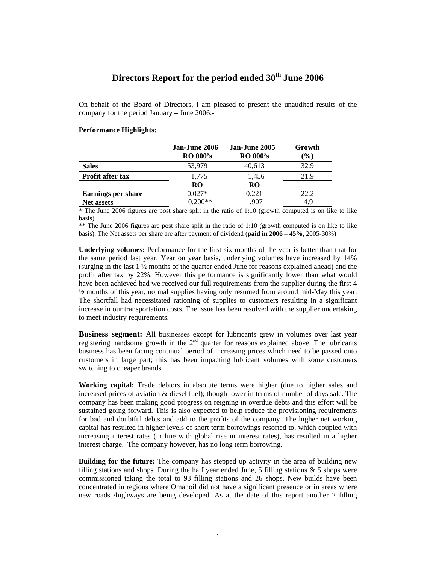# **Directors Report for the period ended 30th June 2006**

On behalf of the Board of Directors, I am pleased to present the unaudited results of the company for the period January – June 2006:-

## **Performance Highlights:**

|                           | Jan-June 2006<br><b>RO 000's</b> | Jan-June 2005<br><b>RO 000's</b> | Growth<br>$(\%)$ |
|---------------------------|----------------------------------|----------------------------------|------------------|
| <b>Sales</b>              | 53,979                           | 40,613                           | 32.9             |
| <b>Profit after tax</b>   | 1,775                            | 1,456                            | 21.9             |
|                           | <b>RO</b>                        | <b>RO</b>                        |                  |
| <b>Earnings per share</b> | $0.027*$                         | 0.221                            | 22.2             |
| <b>Net assets</b>         | $0.200**$                        | 1.907                            | 4.9              |

\* The June 2006 figures are post share split in the ratio of 1:10 (growth computed is on like to like basis)

\*\* The June 2006 figures are post share split in the ratio of 1:10 (growth computed is on like to like basis). The Net assets per share are after payment of dividend (**paid in 2006 – 45%**, 2005-30%)

**Underlying volumes:** Performance for the first six months of the year is better than that for the same period last year. Year on year basis, underlying volumes have increased by 14% (surging in the last 1 ½ months of the quarter ended June for reasons explained ahead) and the profit after tax by 22%. However this performance is significantly lower than what would have been achieved had we received our full requirements from the supplier during the first 4 ½ months of this year, normal supplies having only resumed from around mid-May this year. The shortfall had necessitated rationing of supplies to customers resulting in a significant increase in our transportation costs. The issue has been resolved with the supplier undertaking to meet industry requirements.

**Business segment:** All businesses except for lubricants grew in volumes over last year registering handsome growth in the  $2<sup>nd</sup>$  quarter for reasons explained above. The lubricants business has been facing continual period of increasing prices which need to be passed onto customers in large part; this has been impacting lubricant volumes with some customers switching to cheaper brands.

**Working capital:** Trade debtors in absolute terms were higher (due to higher sales and increased prices of aviation & diesel fuel); though lower in terms of number of days sale. The company has been making good progress on reigning in overdue debts and this effort will be sustained going forward. This is also expected to help reduce the provisioning requirements for bad and doubtful debts and add to the profits of the company. The higher net working capital has resulted in higher levels of short term borrowings resorted to, which coupled with increasing interest rates (in line with global rise in interest rates), has resulted in a higher interest charge. The company however, has no long term borrowing.

**Building for the future:** The company has stepped up activity in the area of building new filling stations and shops. During the half year ended June, 5 filling stations  $\&$  5 shops were commissioned taking the total to 93 filling stations and 26 shops. New builds have been concentrated in regions where Omanoil did not have a significant presence or in areas where new roads /highways are being developed. As at the date of this report another 2 filling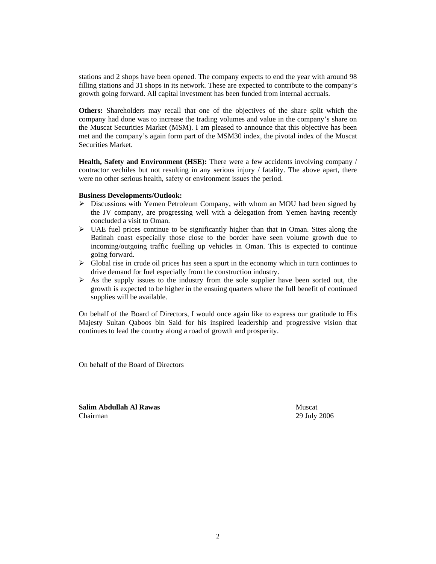stations and 2 shops have been opened. The company expects to end the year with around 98 filling stations and 31 shops in its network. These are expected to contribute to the company's growth going forward. All capital investment has been funded from internal accruals.

**Others:** Shareholders may recall that one of the objectives of the share split which the company had done was to increase the trading volumes and value in the company's share on the Muscat Securities Market (MSM). I am pleased to announce that this objective has been met and the company's again form part of the MSM30 index, the pivotal index of the Muscat Securities Market.

**Health, Safety and Environment (HSE):** There were a few accidents involving company / contractor vechiles but not resulting in any serious injury / fatality. The above apart, there were no other serious health, safety or environment issues the period.

### **Business Developments/Outlook:**

- $\triangleright$  Discussions with Yemen Petroleum Company, with whom an MOU had been signed by the JV company, are progressing well with a delegation from Yemen having recently concluded a visit to Oman.
- $\triangleright$  UAE fuel prices continue to be significantly higher than that in Oman. Sites along the Batinah coast especially those close to the border have seen volume growth due to incoming/outgoing traffic fuelling up vehicles in Oman. This is expected to continue going forward.
- $\triangleright$  Global rise in crude oil prices has seen a spurt in the economy which in turn continues to drive demand for fuel especially from the construction industry.
- $\triangleright$  As the supply issues to the industry from the sole supplier have been sorted out, the growth is expected to be higher in the ensuing quarters where the full benefit of continued supplies will be available.

On behalf of the Board of Directors, I would once again like to express our gratitude to His Majesty Sultan Qaboos bin Said for his inspired leadership and progressive vision that continues to lead the country along a road of growth and prosperity.

On behalf of the Board of Directors

**Salim Abdullah Al Rawas** Muscat Chairman 29 July 2006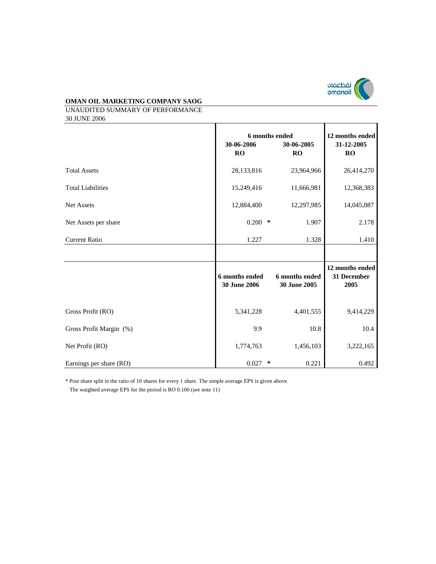

UNAUDITED SUMMARY OF PERFORMANCE 30 JUNE 2006

|                          | 6 months ended                        |        | 12 months ended                       |                                        |
|--------------------------|---------------------------------------|--------|---------------------------------------|----------------------------------------|
|                          | 30-06-2006<br>RO                      |        | 30-06-2005<br>RO                      | 31-12-2005<br><b>RO</b>                |
| <b>Total Assets</b>      | 28,133,816                            |        | 23,964,966                            | 26,414,270                             |
| <b>Total Liabilities</b> | 15,249,416                            |        | 11,666,981                            | 12,368,383                             |
| <b>Net Assets</b>        | 12,884,400                            |        | 12,297,985                            | 14,045,887                             |
| Net Assets per share     | $0.200$ *                             |        | 1.907                                 | 2.178                                  |
| <b>Current Ratio</b>     | 1.227                                 |        | 1.328                                 | 1.410                                  |
|                          |                                       |        |                                       |                                        |
|                          | 6 months ended<br><b>30 June 2006</b> |        | 6 months ended<br><b>30 June 2005</b> | 12 months ended<br>31 December<br>2005 |
| Gross Profit (RO)        | 5,341,228                             |        | 4,401,555                             | 9,414,229                              |
| Gross Profit Margin (%)  | 9.9                                   |        | 10.8                                  | 10.4                                   |
| Net Profit (RO)          | 1,774,763                             |        | 1,456,103                             | 3,222,165                              |
| Earnings per share (RO)  | 0.027                                 | $\ast$ | 0.221                                 | 0.492                                  |

\* Post share split in the ratio of 10 shares for every 1 share. The simple average EPS is given above.

The waighted average EPS for the period is RO 0.106 (see note 11)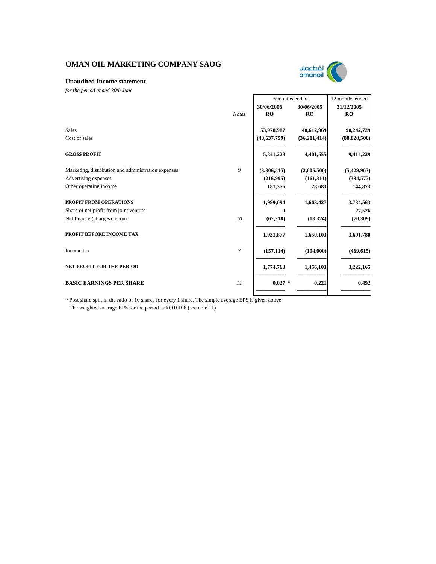

### **Unaudited Income statement**

*for the period ended 30th June* 

|                                                     |                | 6 months ended |                | 12 months ended |
|-----------------------------------------------------|----------------|----------------|----------------|-----------------|
|                                                     |                | 30/06/2006     | 30/06/2005     | 31/12/2005      |
|                                                     | <b>Notes</b>   | RO             | <b>RO</b>      | <b>RO</b>       |
| <b>Sales</b>                                        |                | 53,978,987     | 40,612,969     | 90,242,729      |
| Cost of sales                                       |                | (48, 637, 759) | (36, 211, 414) | (80, 828, 500)  |
| <b>GROSS PROFIT</b>                                 |                | 5,341,228      | 4,401,555      | 9,414,229       |
| Marketing, distribution and administration expenses | 9              | (3,306,515)    | (2,605,500)    | (5,429,963)     |
| Advertising expenses                                |                | (216,995)      | (161, 311)     | (394, 577)      |
| Other operating income                              |                | 181,376        | 28,683         | 144,873         |
| PROFIT FROM OPERATIONS                              |                | 1,999,094      | 1,663,427      | 3,734,563       |
| Share of net profit from joint venture              |                | $\bf{0}$       |                | 27,526          |
| Net finance (charges) income                        | 10             | (67, 218)      | (13, 324)      | (70, 309)       |
| PROFIT BEFORE INCOME TAX                            |                | 1,931,877      | 1,650,103      | 3,691,780       |
| Income tax                                          | $\overline{7}$ | (157, 114)     | (194,000)      | (469, 615)      |
| <b>NET PROFIT FOR THE PERIOD</b>                    |                | 1,774,763      | 1,456,103      | 3,222,165       |
| <b>BASIC EARNINGS PER SHARE</b>                     | 11             | $0.027$ *      | 0.221          | 0.492           |
|                                                     |                |                |                |                 |

\* Post share split in the ratio of 10 shares for every 1 share. The simple average EPS is given above. The waighted average EPS for the period is RO 0.106 (see note 11)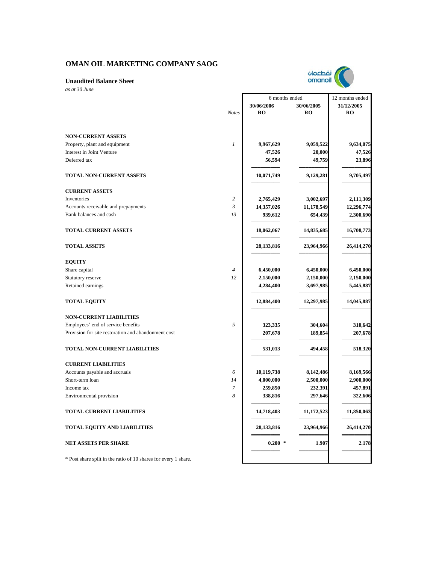

*as at 30 June*

|                                                                 |                | 6 months ended |            | 12 months ended |  |
|-----------------------------------------------------------------|----------------|----------------|------------|-----------------|--|
|                                                                 |                | 30/06/2006     | 30/06/2005 | 31/12/2005      |  |
|                                                                 | <b>Notes</b>   | <b>RO</b>      | <b>RO</b>  | <b>RO</b>       |  |
|                                                                 |                |                |            |                 |  |
| <b>NON-CURRENT ASSETS</b>                                       |                |                |            |                 |  |
| Property, plant and equipment                                   | $\mathfrak{1}$ | 9,967,629      | 9,059,522  | 9,634,075       |  |
| Interest in Joint Venture                                       |                | 47,526         | 20,000     | 47,526          |  |
| Deferred tax                                                    |                | 56,594         | 49,759     | 23,896          |  |
|                                                                 |                |                |            |                 |  |
| TOTAL NON-CURRENT ASSETS                                        |                | 10,071,749     | 9,129,281  | 9,705,497       |  |
| <b>CURRENT ASSETS</b>                                           |                |                |            |                 |  |
| Inventories                                                     | $\overline{c}$ | 2,765,429      | 3,002,697  | 2,111,309       |  |
| Accounts receivable and prepayments                             | $\mathfrak{Z}$ | 14,357,026     | 11,178,549 | 12,296,774      |  |
| Bank balances and cash                                          | 13             | 939,612        | 654,439    | 2,300,690       |  |
|                                                                 |                |                |            |                 |  |
| <b>TOTAL CURRENT ASSETS</b>                                     |                | 18,062,067     | 14,835,685 | 16,708,773      |  |
| <b>TOTAL ASSETS</b>                                             |                | 28,133,816     | 23,964,966 | 26,414,270      |  |
|                                                                 |                |                |            |                 |  |
| <b>EQUITY</b>                                                   |                |                |            |                 |  |
| Share capital                                                   | $\overline{4}$ | 6,450,000      | 6,450,000  | 6,450,000       |  |
| Statutory reserve                                               | 12             | 2,150,000      | 2,150,000  | 2,150,000       |  |
| Retained earnings                                               |                | 4,284,400      | 3,697,985  | 5,445,887       |  |
| <b>TOTAL EQUITY</b>                                             |                | 12,884,400     | 12,297,985 | 14,045,887      |  |
| <b>NON-CURRENT LIABILITIES</b>                                  |                |                |            |                 |  |
| Employees' end of service benefits                              | 5              | 323,335        | 304,604    | 310,642         |  |
| Provision for site restoration and abandonment cost             |                | 207,678        | 189,854    | 207,678         |  |
| TOTAL NON-CURRENT LIABILITIES                                   |                | 531,013        | 494,458    | 518,320         |  |
| <b>CURRENT LIABILITIES</b>                                      |                |                |            |                 |  |
| Accounts payable and accruals                                   | 6              | 10,119,738     | 8,142,486  | 8,169,566       |  |
| Short-term loan                                                 | 14             | 4,000,000      | 2,500,000  | 2,900,000       |  |
| Income tax                                                      | 7              | 259,850        | 232,391    | 457,891         |  |
| Environmental provision                                         | 8              | 338,816        | 297,646    | 322,606         |  |
| <b>TOTAL CURRENT LIABILITIES</b>                                |                | 14,718,403     | 11,172,523 | 11,850,063      |  |
| TOTAL EQUITY AND LIABILITIES                                    |                | 28, 133, 816   | 23,964,966 | 26,414,270      |  |
| <b>NET ASSETS PER SHARE</b>                                     |                | $0.200*$       | 1.907      | 2.178           |  |
| * Post share split in the ratio of 10 shares for every 1 share. |                |                |            |                 |  |

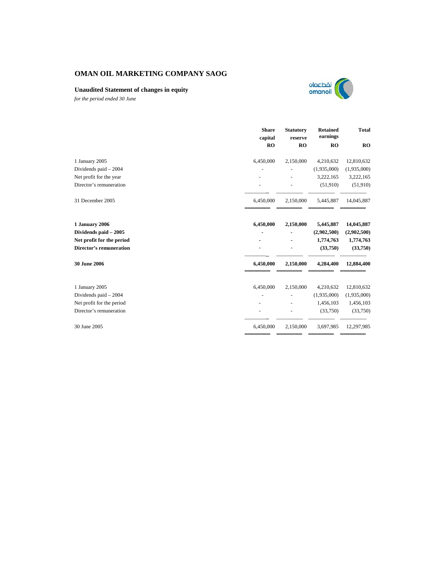## **Unaudited Statement of changes in equity**



*for the period ended 30 June*

|                                | <b>Share</b><br>capital | <b>Statutory</b><br>reserve | <b>Retained</b><br>earnings | <b>Total</b> |
|--------------------------------|-------------------------|-----------------------------|-----------------------------|--------------|
|                                | RO                      | RO                          | RO                          | RO           |
| 1 January 2005                 | 6,450,000               | 2,150,000                   | 4,210,632                   | 12,810,632   |
| Dividends paid - 2004          |                         |                             | (1,935,000)                 | (1,935,000)  |
| Net profit for the year        |                         |                             | 3,222,165                   | 3,222,165    |
| Director's remuneration        |                         |                             | (51,910)                    | (51,910)     |
| 31 December 2005               | 6,450,000               | 2,150,000                   | 5,445,887                   | 14,045,887   |
| 1 January 2006                 | 6,450,000               | 2,150,000                   | 5,445,887                   | 14,045,887   |
| Dividends paid - 2005          |                         |                             | (2,902,500)                 | (2,902,500)  |
| Net profit for the period      |                         |                             | 1,774,763                   | 1,774,763    |
| <b>Director's remuneration</b> |                         |                             | (33,750)                    | (33,750)     |
| <b>30 June 2006</b>            | 6,450,000               | 2,150,000                   | 4,284,400                   | 12,884,400   |
| 1 January 2005                 | 6,450,000               | 2,150,000                   | 4,210,632                   | 12,810,632   |
| Dividends paid - 2004          |                         |                             | (1,935,000)                 | (1,935,000)  |
| Net profit for the period      |                         |                             | 1,456,103                   | 1,456,103    |
| Director's remuneration        |                         |                             | (33,750)                    | (33,750)     |
| 30 June 2005                   | 6,450,000               | 2,150,000                   | 3,697,985                   | 12,297,985   |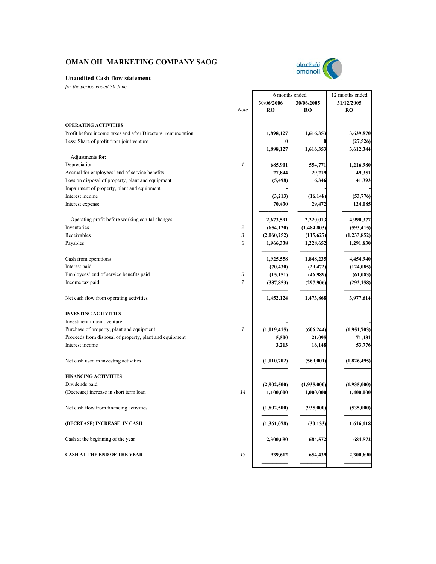

## **Unaudited Cash flow statement**

*for the period ended 30 June*

|                                                              |                  | 6 months ended |             | 12 months ended        |
|--------------------------------------------------------------|------------------|----------------|-------------|------------------------|
|                                                              |                  | 30/06/2006     | 30/06/2005  | 31/12/2005             |
|                                                              | Note             | <b>RO</b>      | RO          | RO                     |
| <b>OPERATING ACTIVITIES</b>                                  |                  |                |             |                        |
| Profit before income taxes and after Directors' remuneration |                  |                | 1,616,353   |                        |
| Less: Share of profit from joint venture                     |                  | 1,898,127      |             | 3,639,870              |
|                                                              |                  | 0<br>1,898,127 | 1,616,353   | (27, 526)<br>3,612,344 |
| Adjustments for:                                             |                  |                |             |                        |
| Depreciation                                                 | $\boldsymbol{l}$ | 685,901        | 554,771     | 1,216,980              |
| Accrual for employees' end of service benefits               |                  | 27,844         | 29,219      | 49,351                 |
| Loss on disposal of property, plant and equipment            |                  | (5, 498)       | 6,346       | 41,393                 |
| Impairment of property, plant and equipment                  |                  |                |             |                        |
| Interest income                                              |                  | (3,213)        | (16, 148)   | (53, 776)              |
| Interest expense                                             |                  | 70,430         | 29,472      | 124,085                |
| Operating profit before working capital changes:             |                  | 2,673,591      | 2,220,013   | 4,990,377              |
| Inventories                                                  | $\overline{c}$   | (654, 120)     | (1,484,803) | (593, 415)             |
| Receivables                                                  | 3                | (2,060,252)    | (115, 627)  | (1, 233, 852)          |
| Payables                                                     | 6                | 1,966,338      | 1,228,652   | 1,291,830              |
| Cash from operations                                         |                  | 1,925,558      | 1,848,235   | 4,454,940              |
| Interest paid                                                |                  | (70, 430)      | (29, 472)   | (124, 085)             |
| Employees' end of service benefits paid                      | 5                | (15, 151)      | (46,989)    | (61, 083)              |
| Income tax paid                                              | $\overline{7}$   | (387, 853)     | (297,906)   | (292, 158)             |
|                                                              |                  |                |             |                        |
| Net cash flow from operating activities                      |                  | 1,452,124      | 1,473,868   | 3,977,614              |
| <b>INVESTING ACTIVITIES</b>                                  |                  |                |             |                        |
| Investment in joint venture                                  |                  |                |             |                        |
| Purchase of property, plant and equipment                    | 1                | (1,019,415)    | (606, 244)  | (1,951,703)            |
| Proceeds from disposal of property, plant and equipment      |                  | 5,500          | 21,095      | 71,431                 |
| Interest income                                              |                  | 3,213          | 16,148      | 53,776                 |
| Net cash used in investing activities                        |                  | (1,010,702)    | (569,001)   | (1,826,495)            |
| <b>FINANCING ACTIVITIES</b>                                  |                  |                |             |                        |
| Dividends paid                                               |                  | (2,902,500)    | (1,935,000) | (1,935,000)            |
| (Decrease) increase in short term loan                       | 14               | 1,100,000      | 1,000,000   | 1,400,000              |
| Net cash flow from financing activities                      |                  | (1,802,500)    | (935,000)   | (535,000)              |
| (DECREASE) INCREASE IN CASH                                  |                  | (1,361,078)    | (30, 133)   | 1,616,118              |
| Cash at the beginning of the year                            |                  | 2,300,690      | 684,572     | 684,572                |
| <b>CASH AT THE END OF THE YEAR</b>                           | 13               | 939,612        | 654,439     | 2,300,690              |
|                                                              |                  |                |             |                        |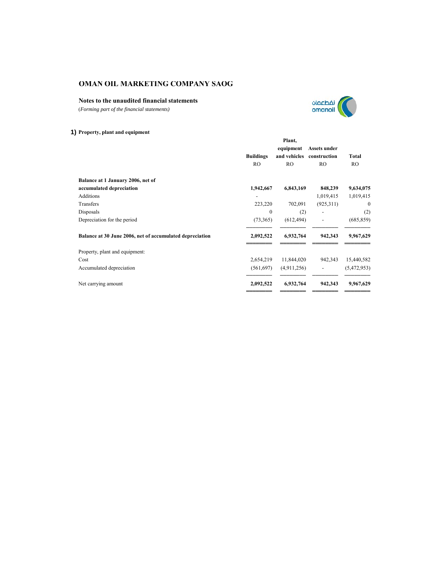## **Notes to the unaudited financial statements**

(*Forming part of the financial statements)*



## **1) Property, plant and equipment**

|                                                          |                  | Plant,         |                          |                |
|----------------------------------------------------------|------------------|----------------|--------------------------|----------------|
|                                                          |                  | equipment      | Assets under             |                |
|                                                          | <b>Buildings</b> | and vehicles   | construction             | <b>Total</b>   |
|                                                          | RO               | R <sub>O</sub> | RO.                      | R <sub>O</sub> |
| Balance at 1 January 2006, net of                        |                  |                |                          |                |
| accumulated depreciation                                 | 1,942,667        | 6,843,169      | 848,239                  | 9,634,075      |
| <b>Additions</b>                                         |                  |                | 1,019,415                | 1,019,415      |
| Transfers                                                | 223,220          | 702,091        | (925,311)                | $\mathbf{0}$   |
| Disposals                                                | $\mathbf{0}$     | (2)            | $\overline{\phantom{0}}$ | (2)            |
| Depreciation for the period                              | (73,365)         | (612, 494)     | $\overline{\phantom{0}}$ | (685, 859)     |
| Balance at 30 June 2006, net of accumulated depreciation | 2,092,522        | 6,932,764      | 942,343                  | 9,967,629      |
| Property, plant and equipment:                           |                  |                |                          |                |
| Cost                                                     | 2,654,219        | 11,844,020     | 942,343                  | 15,440,582     |
| Accumulated depreciation                                 | (561, 697)       | (4,911,256)    | $\overline{\phantom{a}}$ | (5,472,953)    |
| Net carrying amount                                      | 2,092,522        | 6,932,764      | 942,343                  | 9,967,629      |
|                                                          |                  |                |                          |                |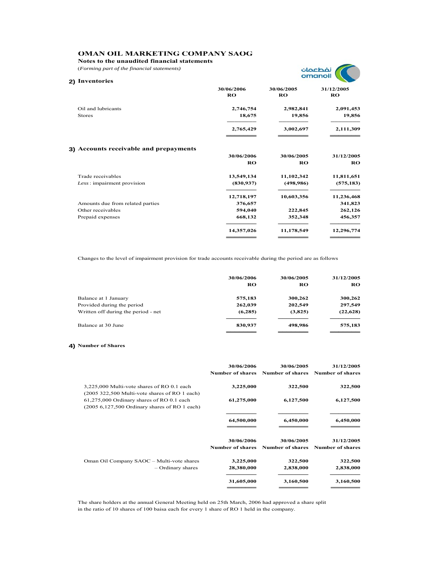**Notes to the unaudited financial statements**

(*Forming part of the financial statements)*



| 2) Inventories                         |                         |                         |                         |
|----------------------------------------|-------------------------|-------------------------|-------------------------|
|                                        | 30/06/2006<br><b>RO</b> | 30/06/2005<br><b>RO</b> | 31/12/2005<br><b>RO</b> |
| Oil and lubricants                     | 2,746,754               | 2,982,841               | 2,091,453               |
| <b>Stores</b>                          | 18,675                  | 19,856                  | 19,856                  |
|                                        | 2,765,429               | 3,002,697               | 2,111,309               |
| 3) Accounts receivable and prepayments |                         |                         |                         |
|                                        | 30/06/2006              | 30/06/2005              | 31/12/2005              |
|                                        | <b>RO</b>               | <b>RO</b>               | RO                      |
| Trade receivables                      | 13,549,134              | 11,102,342              | 11,811,651              |
| Less: impairment provision             | (830, 937)              | (498, 986)              | (575, 183)              |
|                                        | 12,718,197              | 10,603,356              | 11,236,468              |
| Amounts due from related parties       | 376,657                 |                         | 341,823                 |
| Other receivables                      | 594,040                 | 222,845                 | 262,126                 |
| Prepaid expenses                       | 668,132                 | 352,348                 | 456,357                 |
|                                        | 14,357,026              | 11,178,549              | 12,296,774              |
|                                        |                         |                         |                         |

Changes to the level of impairment provision for trade accounts receivable during the period are as follows

|                                     | 30/06/2006<br>RO | 30/06/2005<br>RO | 31/12/2005<br>RO |
|-------------------------------------|------------------|------------------|------------------|
| Balance at 1 January                | 575,183          | 300,262          | 300,262          |
| Provided during the period          | 262,039          | 202,549          | 297,549          |
| Written off during the period - net | (6,285)          | (3,825)          | (22, 628)        |
| Balance at 30 June                  | 830,937          | 498,986          | 575,183          |
|                                     |                  |                  |                  |

#### **4) Number of Shares**

|                                                                                                       | 30/06/2006<br><b>Number of shares</b> | 30/06/2005                                      | 31/12/2005<br>Number of shares Number of shares |
|-------------------------------------------------------------------------------------------------------|---------------------------------------|-------------------------------------------------|-------------------------------------------------|
| 3,225,000 Multi-vote shares of RO 0.1 each<br>$(2005 322,500 \text{ Multi-vote shares of RO 1 each})$ | 3,225,000                             | 322,500                                         | 322,500                                         |
| 61,275,000 Ordinary shares of RO 0.1 each<br>$(2005 6, 127, 500$ Ordinary shares of RO 1 each)        | 61,275,000                            | 6,127,500                                       | 6,127,500                                       |
|                                                                                                       | 64,500,000                            | 6,450,000                                       | 6,450,000                                       |
|                                                                                                       | 30/06/2006<br><b>Number of shares</b> | 30/06/2005<br>Number of shares Number of shares | 31/12/2005                                      |
| Oman Oil Company SAOC - Multi-vote shares<br>- Ordinary shares                                        | 3,225,000<br>28,380,000               | 322,500<br>2,838,000                            | 322,500<br>2,838,000                            |
|                                                                                                       | 31,605,000                            | 3,160,500                                       | 3,160,500                                       |

The share holders at the annual General Meeting held on 25th March, 2006 had approved a share split in the ratio of 10 shares of 100 baisa each for every 1 share of RO 1 held in the company.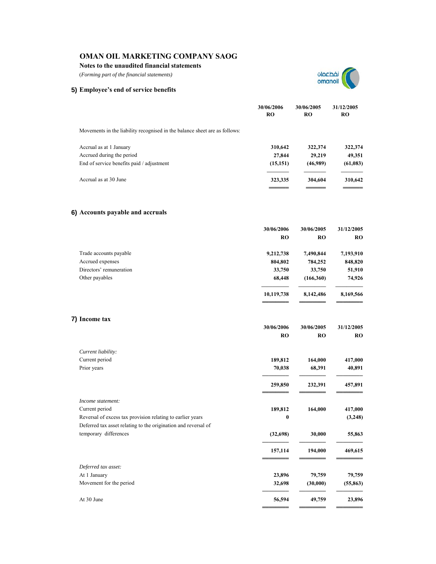### **Notes to the unaudited financial statements**

(*Forming part of the financial statements)*



## **5) Employee's end of service benefits**

|                                                                            | 30/06/2006<br>RO | 30/06/2005<br><b>RO</b> | 31/12/2005<br>RO |
|----------------------------------------------------------------------------|------------------|-------------------------|------------------|
| Movements in the liability recognised in the balance sheet are as follows: |                  |                         |                  |
| Accrual as at 1 January                                                    | 310,642          | 322,374                 | 322,374          |
| Accrued during the period                                                  | 27,844           | 29,219                  | 49,351           |
| End of service benefits paid / adjustment                                  | (15, 151)        | (46,989)                | (61,083)         |
| Accrual as at 30 June                                                      | 323,335          | 304,604                 | 310,642          |
|                                                                            |                  |                         |                  |

## **6) Accounts payable and accruals**

|                                                                | 30/06/2006 | 30/06/2005 | 31/12/2005 |
|----------------------------------------------------------------|------------|------------|------------|
|                                                                | <b>RO</b>  | <b>RO</b>  | <b>RO</b>  |
| Trade accounts payable                                         | 9,212,738  | 7,490,844  | 7,193,910  |
| Accrued expenses                                               | 804,802    | 784,252    | 848,820    |
| Directors' remuneration                                        | 33,750     | 33,750     | 51,910     |
| Other payables                                                 | 68,448     | (166, 360) | 74,926     |
|                                                                | 10,119,738 | 8,142,486  | 8,169,566  |
| 7) Income tax                                                  |            |            |            |
|                                                                | 30/06/2006 | 30/06/2005 | 31/12/2005 |
|                                                                | <b>RO</b>  | <b>RO</b>  | <b>RO</b>  |
| Current liability:                                             |            |            |            |
| Current period                                                 | 189,812    | 164,000    | 417,000    |
| Prior years                                                    | 70,038     | 68,391     | 40,891     |
|                                                                | 259,850    | 232,391    | 457,891    |
| Income statement:                                              |            |            |            |
| Current period                                                 | 189,812    | 164,000    | 417,000    |
| Reversal of excess tax provision relating to earlier years     | 0          |            | (3,248)    |
| Deferred tax asset relating to the origination and reversal of |            |            |            |
| temporary differences                                          | (32, 698)  | 30,000     | 55,863     |
|                                                                | 157,114    | 194,000    | 469,615    |
| Deferred tax asset:                                            |            |            |            |
| At 1 January                                                   | 23,896     | 79,759     | 79,759     |
| Movement for the period                                        | 32,698     | (30,000)   | (55, 863)  |
| At 30 June                                                     | 56,594     | 49,759     | 23,896     |
|                                                                |            |            |            |